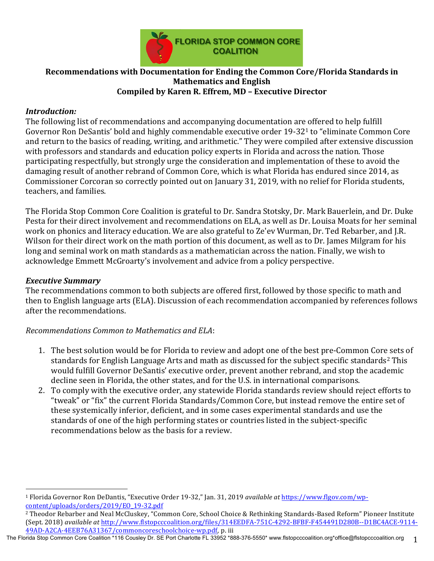

#### **Recommendations with Documentation for Ending the Common Core/Florida Standards in Mathematics and English Compiled by Karen R. Effrem, MD - Executive Director**

#### *Introduction:*

The following list of recommendations and accompanying documentation are offered to help fulfill Governor Ron DeSantis' bold and highly commendable executive order 19-32<sup>1</sup> to "eliminate Common Core and return to the basics of reading, writing, and arithmetic." They were compiled after extensive discussion with professors and standards and education policy experts in Florida and across the nation. Those participating respectfully, but strongly urge the consideration and implementation of these to avoid the damaging result of another rebrand of Common Core, which is what Florida has endured since 2014, as Commissioner Corcoran so correctly pointed out on January 31, 2019, with no relief for Florida students, teachers, and families.

The Florida Stop Common Core Coalition is grateful to Dr. Sandra Stotsky, Dr. Mark Bauerlein, and Dr. Duke Pesta for their direct involvement and recommendations on ELA, as well as Dr. Louisa Moats for her seminal work on phonics and literacy education. We are also grateful to Ze'ev Wurman, Dr. Ted Rebarber, and J.R. Wilson for their direct work on the math portion of this document, as well as to Dr. James Milgram for his long and seminal work on math standards as a mathematician across the nation. Finally, we wish to acknowledge Emmett McGroarty's involvement and advice from a policy perspective.

#### *Executive Summary*

 

The recommendations common to both subjects are offered first, followed by those specific to math and then to English language arts (ELA). Discussion of each recommendation accompanied by references follows after the recommendations.

#### *Recommendations Common to Mathematics and ELA*:

- 1. The best solution would be for Florida to review and adopt one of the best pre-Common Core sets of standards for English Language Arts and math as discussed for the subject specific standards<sup>2</sup> This would fulfill Governor DeSantis' executive order, prevent another rebrand, and stop the academic decline seen in Florida, the other states, and for the U.S. in international comparisons.
- 2. To comply with the executive order, any statewide Florida standards review should reject efforts to "tweak" or "fix" the current Florida Standards/Common Core, but instead remove the entire set of these systemically inferior, deficient, and in some cases experimental standards and use the standards of one of the high performing states or countries listed in the subject-specific recommendations below as the basis for a review.

The Florida Stop Common Core Coalition \*116 Cousley Dr. SE Port Charlotte FL 33952 \*888-376-5550\* www.flstopcccoalition.org \*office@flstopcccoalition.org 1

<sup>&</sup>lt;sup>1</sup> Florida Governor Ron DeDantis, "Executive Order 19-32," Ian. 31, 2019 *available at https://www.flgov.com/wp*content/uploads/orders/2019/EO\_19-32.pdf

<sup>&</sup>lt;sup>2</sup> Theodor Rebarber and Neal McCluskey, "Common Core, School Choice & Rethinking Standards-Based Reform" Pioneer Institute (Sept. 2018) *available at* http://www.flstopcccoalition.org/files/314EEDFA-751C-4292-BFBF-F454491D280B--D1BC4ACE-9114-49AD-A2CA-4EEB76A31367/commoncoreschoolchoice-wp.pdf, p. iii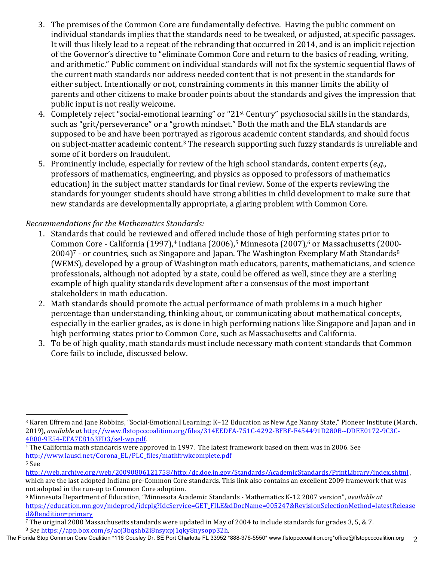- 3. The premises of the Common Core are fundamentally defective. Having the public comment on individual standards implies that the standards need to be tweaked, or adjusted, at specific passages. It will thus likely lead to a repeat of the rebranding that occurred in 2014, and is an implicit rejection of the Governor's directive to "eliminate Common Core and return to the basics of reading, writing, and arithmetic." Public comment on individual standards will not fix the systemic sequential flaws of the current math standards nor address needed content that is not present in the standards for either subject. Intentionally or not, constraining comments in this manner limits the ability of parents and other citizens to make broader points about the standards and gives the impression that public input is not really welcome.
- 4. Completely reject "social-emotional learning" or "21<sup>st</sup> Century" psychosocial skills in the standards, such as "grit/perseverance" or a "growth mindset." Both the math and the ELA standards are supposed to be and have been portrayed as rigorous academic content standards, and should focus on subject-matter academic content.<sup>3</sup> The research supporting such fuzzy standards is unreliable and some of it borders on fraudulent.
- 5. Prominently include, especially for review of the high school standards, content experts (*e.g.*, professors of mathematics, engineering, and physics as opposed to professors of mathematics education) in the subject matter standards for final review. Some of the experts reviewing the standards for younger students should have strong abilities in child development to make sure that new standards are developmentally appropriate, a glaring problem with Common Core.

## *Recommendations for the Mathematics Standards:*

- 1. Standards that could be reviewed and offered include those of high performing states prior to Common Core - California (1997),<sup>4</sup> Indiana (2006),<sup>5</sup> Minnesota (2007),<sup>6</sup> or Massachusetts (2000- $2004$ <sup>7</sup> - or countries, such as Singapore and Japan. The Washington Exemplary Math Standards<sup>8</sup> (WEMS), developed by a group of Washington math educators, parents, mathematicians, and science professionals, although not adopted by a state, could be offered as well, since they are a sterling example of high quality standards development after a consensus of the most important stakeholders in math education.
- 2. Math standards should promote the actual performance of math problems in a much higher percentage than understanding, thinking about, or communicating about mathematical concepts, especially in the earlier grades, as is done in high performing nations like Singapore and Japan and in high performing states prior to Common Core, such as Massachusetts and California.
- 3. To be of high quality, math standards must include necessary math content standards that Common Core fails to include, discussed below.

<sup>&</sup>lt;sup>3</sup> Karen Effrem and Jane Robbins, "Social-Emotional Learning: K-12 Education as New Age Nanny State," Pioneer Institute (March, 2019), *available at http://www.flstopcccoalition.org/files/314EEDFA-751C-4292-BFBF-F454491D280B--DDEE0172-9C3C-*4B88-9E54-EFA7E8163FD3/sel-wp.pdf. 

<sup>&</sup>lt;sup>4</sup> The California math standards were approved in 1997. The latest framework based on them was in 2006. See http://www.lausd.net/Corona\_EL/PLC\_files/mathfrwkcomplete.pdf <sup>5</sup> See 

http://web.archive.org/web/20090806121758/http:/dc.doe.in.gov/Standards/AcademicStandards/PrintLibrary/index.shtml , which are the last adopted Indiana pre-Common Core standards. This link also contains an excellent 2009 framework that was not adopted in the run-up to Common Core adoption.

<sup>&</sup>lt;sup>6</sup> Minnesota Department of Education, "Minnesota Academic Standards - Mathematics K-12 2007 version", *available at* https://education.mn.gov/mdeprod/idcplg?IdcService=GET\_FILE&dDocName=005247&RevisionSelectionMethod=latestRelease d&Rendition=primary

<sup>7</sup> The original 2000 Massachusetts standards were updated in May of 2004 to include standards for grades 3, 5, & 7. <sup>8</sup> *See* https://app.box.com/s/aoj3bqshb2i8nsyxpj1qky8nysopp32h.

The Florida Stop Common Core Coalition \*116 Cousley Dr. SE Port Charlotte FL 33952 \*888-376-5550\* www.flstopcccoalition.org \*office@flstopcccoalition.org 2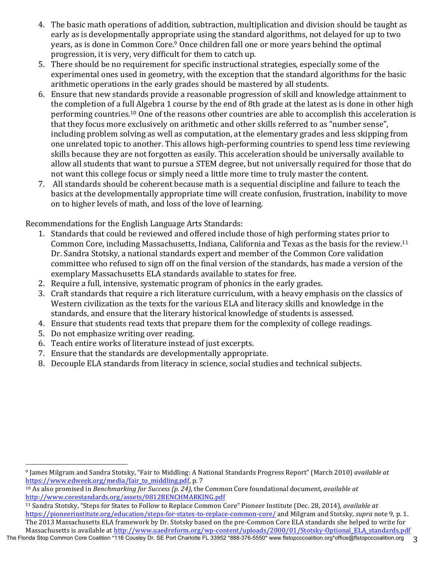- 4. The basic math operations of addition, subtraction, multiplication and division should be taught as early as is developmentally appropriate using the standard algorithms, not delayed for up to two years, as is done in Common Core.<sup>9</sup> Once children fall one or more years behind the optimal progression, it is very, very difficult for them to catch up.
- 5. There should be no requirement for specific instructional strategies, especially some of the experimental ones used in geometry, with the exception that the standard algorithms for the basic arithmetic operations in the early grades should be mastered by all students.
- 6. Ensure that new standards provide a reasonable progression of skill and knowledge attainment to the completion of a full Algebra 1 course by the end of 8th grade at the latest as is done in other high performing countries.<sup>10</sup> One of the reasons other countries are able to accomplish this acceleration is that they focus more exclusively on arithmetic and other skills referred to as "number sense", including problem solving as well as computation, at the elementary grades and less skipping from one unrelated topic to another. This allows high-performing countries to spend less time reviewing skills because they are not forgotten as easily. This acceleration should be universally available to allow all students that want to pursue a STEM degree, but not universally required for those that do not want this college focus or simply need a little more time to truly master the content.
- 7. All standards should be coherent because math is a sequential discipline and failure to teach the basics at the developmentally appropriate time will create confusion, frustration, inability to move on to higher levels of math, and loss of the love of learning.

Recommendations for the English Language Arts Standards:

- 1. Standards that could be reviewed and offered include those of high performing states prior to Common Core, including Massachusetts, Indiana, California and Texas as the basis for the review.<sup>11</sup> Dr. Sandra Stotsky, a national standards expert and member of the Common Core validation committee who refused to sign off on the final version of the standards, has made a version of the exemplary Massachusetts ELA standards available to states for free.
- 2. Require a full, intensive, systematic program of phonics in the early grades.
- 3. Craft standards that require a rich literature curriculum, with a heavy emphasis on the classics of Western civilization as the texts for the various ELA and literacy skills and knowledge in the standards, and ensure that the literary historical knowledge of students is assessed.
- 4. Ensure that students read texts that prepare them for the complexity of college readings.
- 5. Do not emphasize writing over reading.
- 6. Teach entire works of literature instead of just excerpts.
- 7. Ensure that the standards are developmentally appropriate.
- 8. Decouple ELA standards from literacy in science, social studies and technical subjects.

 <sup>9</sup> James Milgram and Sandra Stotsky, "Fair to Middling: A National Standards Progress Report" (March 2010) *available at* https://www.edweek.org/media/fair\_to\_middling.pdf, p. 7

<sup>&</sup>lt;sup>10</sup> As also promised in *Benchmarking for Success (p. 24)*, the Common Core foundational document, *available at* http://www.corestandards.org/assets/0812BENCHMARKING.pdf 

<sup>&</sup>lt;sup>11</sup> Sandra Stotsky, "Steps for States to Follow to Replace Common Core" Pioneer Institute (Dec. 28, 2014), *available at* https://pioneerinstitute.org/education/steps-for-states-to-replace-common-core/ and Milgram and Stotsky, *supra* note 9, p. 1. The 2013 Massachusetts ELA framework by Dr. Stotsky based on the pre-Common Core ELA standards she helped to write for Massachusetts is available at http://www.uaedreform.org/wp-content/uploads/2000/01/Stotsky-Optional\_ELA\_standards.pdf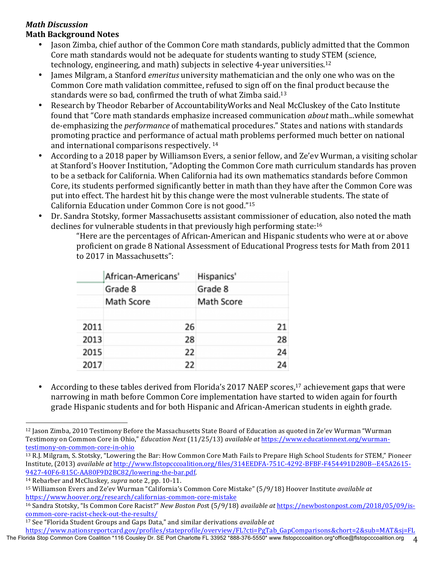#### *Math Discussion* **Math Background Notes**

- Jason Zimba, chief author of the Common Core math standards, publicly admitted that the Common Core math standards would not be adequate for students wanting to study STEM (science, technology, engineering, and math) subjects in selective 4-year universities.<sup>12</sup>
- James Milgram, a Stanford *emeritus* university mathematician and the only one who was on the Common Core math validation committee, refused to sign off on the final product because the standards were so bad, confirmed the truth of what Zimba said.<sup>13</sup>
- Research by Theodor Rebarber of AccountabilityWorks and Neal McCluskey of the Cato Institute found that "Core math standards emphasize increased communication *about* math...while somewhat de-emphasizing the *performance* of mathematical procedures." States and nations with standards promoting practice and performance of actual math problems performed much better on national and international comparisons respectively.  $14$
- According to a 2018 paper by Williamson Evers, a senior fellow, and Ze'ev Wurman, a visiting scholar at Stanford's Hoover Institution, "Adopting the Common Core math curriculum standards has proven to be a setback for California. When California had its own mathematics standards before Common Core, its students performed significantly better in math than they have after the Common Core was put into effect. The hardest hit by this change were the most vulnerable students. The state of California Education under Common Core is not good."15
- Dr. Sandra Stotsky, former Massachusetts assistant commissioner of education, also noted the math declines for vulnerable students in that previously high performing state: $16$

"Here are the percentages of African-American and Hispanic students who were at or above proficient on grade 8 National Assessment of Educational Progress tests for Math from 2011 to 2017 in Massachusetts":

|      | African-Americans' | Hispanics' |  |
|------|--------------------|------------|--|
|      | Grade 8            | Grade 8    |  |
|      | Math Score         | Math Score |  |
| 2011 | 26                 | 21         |  |
| 2013 | 28                 | 28         |  |
| 2015 | 22                 | 24         |  |
| 2017 | 22                 | 24         |  |

According to these tables derived from Florida's 2017 NAEP scores,<sup>17</sup> achievement gaps that were narrowing in math before Common Core implementation have started to widen again for fourth grade Hispanic students and for both Hispanic and African-American students in eighth grade.

<sup>&</sup>lt;sup>12</sup> Jason Zimba, 2010 Testimony Before the Massachusetts State Board of Education as quoted in Ze'ev Wurman "Wurman Testimony on Common Core in Ohio," *Education Next* (11/25/13) *available at https://www.educationnext.org/wurman*testimony-on-common-core-in-ohio

<sup>&</sup>lt;sup>13</sup> R.J. Milgram, S. Stotsky, "Lowering the Bar: How Common Core Math Fails to Prepare High School Students for STEM," Pioneer Institute, (2013) *available at http://www.flstopcccoalition.org/files/314EEDFA-751C-4292-BFBF-F454491D280B--E45A2615-*9427-40F6-815C-AA80F9D2BC82/lowering-the-bar.pdf. 

<sup>&</sup>lt;sup>14</sup> Rebarber and McCluskey, *supra* note 2, pp. 10-11.

<sup>&</sup>lt;sup>15</sup> Williamson Evers and Ze'ev Wurman "California's Common Core Mistake" (5/9/18) Hoover Institute *available at* https://www.hoover.org/research/californias-common-core-mistake

<sup>&</sup>lt;sup>16</sup> Sandra Stotsky, "Is Common Core Racist?" *New Boston Post* (5/9/18) *available at https://newbostonpost.com/2018/05/09/is*common-core-racist-check-out-the-results/

<sup>&</sup>lt;sup>17</sup> See "Florida Student Groups and Gaps Data," and similar derivations *available at* 

https://www.nationsreportcard.gov/profiles/stateprofile/overview/FL?cti=PgTab\_GapComparisons&chort=2&sub=MAT&sj=FL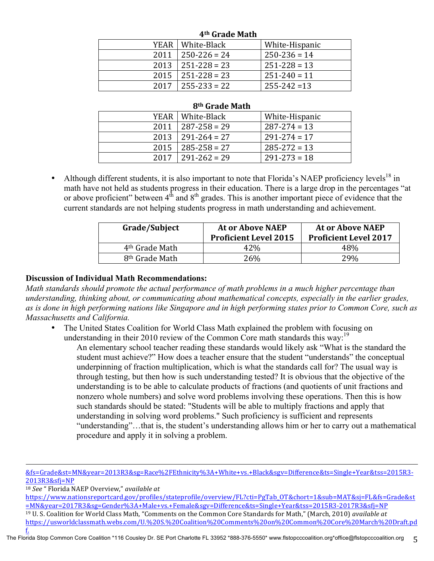| 4 <sup>th</sup> Grade Math |                    |                  |  |
|----------------------------|--------------------|------------------|--|
|                            | YEAR   White-Black | White-Hispanic   |  |
| 2011                       | $250 - 226 = 24$   | $250 - 236 = 14$ |  |
| 2013                       | $251 - 228 = 23$   | $251 - 228 = 13$ |  |
| $2015$                     | $251 - 228 = 23$   | $251 - 240 = 11$ |  |
| 2017                       | $255 - 233 = 22$   | $255 - 242 = 13$ |  |

#### **4th Grade Math**

#### **8th Grade Math**

|      | YEAR   White-Black    | White-Hispanic   |
|------|-----------------------|------------------|
| 2011 | $1287 - 258 = 29$     | $287 - 274 = 13$ |
| 2013 | $1291 - 264 = 27$     | $291 - 274 = 17$ |
| 2015 | $ 285 - 258 = 27$     | $285 - 272 = 13$ |
|      | $2017$   291-262 = 29 | $291 - 273 = 18$ |

Although different students, it is also important to note that Florida's NAEP proficiency levels<sup>18</sup> in math have not held as students progress in their education. There is a large drop in the percentages "at or above proficient" between  $4<sup>th</sup>$  and  $8<sup>th</sup>$  grades. This is another important piece of evidence that the current standards are not helping students progress in math understanding and achievement.

| Grade/Subject              | <b>At or Above NAEP</b><br><b>Proficient Level 2015</b> | <b>At or Above NAEP</b><br><b>Proficient Level 2017</b> |
|----------------------------|---------------------------------------------------------|---------------------------------------------------------|
| 4 <sup>th</sup> Grade Math | 42\%                                                    | 48%                                                     |
| 8 <sup>th</sup> Grade Math | 26%                                                     | 2.9%                                                    |

#### **Discussion of Individual Math Recommendations:**

*Math standards should promote the actual performance of math problems in a much higher percentage than understanding, thinking about, or communicating about mathematical concepts, especially in the earlier grades, as is done in high performing nations like Singapore and in high performing states prior to Common Core, such as Massachusetts and California.* 

• The United States Coalition for World Class Math explained the problem with focusing on understanding in their 2010 review of the Common Core math standards this way:<sup>19</sup>

An elementary school teacher reading these standards would likely ask "What is the standard the student must achieve?" How does a teacher ensure that the student "understands" the conceptual underpinning of fraction multiplication, which is what the standards call for? The usual way is through testing, but then how is such understanding tested? It is obvious that the objective of the understanding is to be able to calculate products of fractions (and quotients of unit fractions and nonzero whole numbers) and solve word problems involving these operations. Then this is how such standards should be stated: "Students will be able to multiply fractions and apply that understanding in solving word problems." Such proficiency is sufficient and represents "understanding"…that is, the student's understanding allows him or her to carry out a mathematical procedure and apply it in solving a problem.

<u> 1989 - Andrea Santa Andrea Santa Andrea Santa Andrea Santa Andrea Santa Andrea Santa Andrea Santa Andrea San</u> &fs=Grade&st=MN&year=2013R3&sg=Race%2FEthnicity%3A+White+vs.+Black&sgv=Difference&ts=Single+Year&tss=2015R3- 2013R3&sfj=NP

18 *See* " Florida NAEP Overview," *available at* 

https://www.nationsreportcard.gov/profiles/stateprofile/overview/FL?cti=PgTab\_OT&chort=1&sub=MAT&sj=FL&fs=Grade&st =MN&year=2017R3&sg=Gender%3A+Male+vs.+Female&sgv=Difference&ts=Single+Year&tss=2015R3-2017R3&sfj=NP <sup>19</sup> U. S. Coalition for World Class Math, "Comments on the Common Core Standards for Math," (March, 2010) *available at* 

https://usworldclassmath.webs.com/U.%20S.%20Coalition%20Comments%20on%20Common%20Core%20March%20Draft.pd f.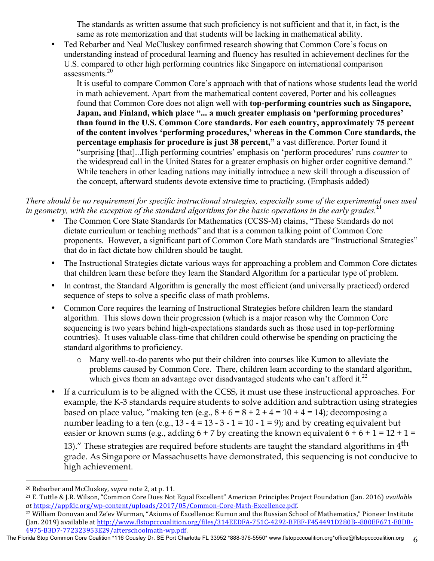The standards as written assume that such proficiency is not sufficient and that it, in fact, is the same as rote memorization and that students will be lacking in mathematical ability.

• Ted Rebarber and Neal McCluskey confirmed research showing that Common Core's focus on understanding instead of procedural learning and fluency has resulted in achievement declines for the U.S. compared to other high performing countries like Singapore on international comparison assessments.<sup>20</sup>

It is useful to compare Common Core's approach with that of nations whose students lead the world in math achievement. Apart from the mathematical content covered, Porter and his colleagues found that Common Core does not align well with **top-performing countries such as Singapore, Japan, and Finland, which place "... a much greater emphasis on 'performing procedures' than found in the U.S. Common Core standards. For each country, approximately 75 percent of the content involves 'performing procedures,' whereas in the Common Core standards, the percentage emphasis for procedure is just 38 percent,"** a vast difference. Porter found it "surprising [that]...High performing countries' emphasis on 'perform procedures' runs *counter* to the widespread call in the United States for a greater emphasis on higher order cognitive demand." While teachers in other leading nations may initially introduce a new skill through a discussion of the concept, afterward students devote extensive time to practicing. (Emphasis added)

#### *There should be no requirement for specific instructional strategies, especially some of the experimental ones used in geometry, with the exception of the standard algorithms for the basic operations in the early grades.***<sup>21</sup>**

- The Common Core State Standards for Mathematics (CCSS-M) claims, "These Standards do not dictate curriculum or teaching methods" and that is a common talking point of Common Core proponents. However, a significant part of Common Core Math standards are "Instructional Strategies" that do in fact dictate how children should be taught.
- The Instructional Strategies dictate various ways for approaching a problem and Common Core dictates that children learn these before they learn the Standard Algorithm for a particular type of problem.
- In contrast, the Standard Algorithm is generally the most efficient (and universally practiced) ordered sequence of steps to solve a specific class of math problems.
- Common Core requires the learning of Instructional Strategies before children learn the standard algorithm. This slows down their progression (which is a major reason why the Common Core sequencing is two years behind high-expectations standards such as those used in top-performing countries). It uses valuable class-time that children could otherwise be spending on practicing the standard algorithms to proficiency.
	- o Many well-to-do parents who put their children into courses like Kumon to alleviate the problems caused by Common Core. There, children learn according to the standard algorithm, which gives them an advantage over disadvantaged students who can't afford it.<sup>22</sup>
- If a curriculum is to be aligned with the CCSS, it must use these instructional approaches. For example, the K-3 standards require students to solve addition and subtraction using strategies based on place value, "making ten  $(e.g., 8 + 6 = 8 + 2 + 4 = 10 + 4 = 14)$ ; decomposing a number leading to a ten (e.g.,  $\overline{13} - 4 = 13 - 3 - 1 = 10 - 1 = 9$ ); and by creating equivalent but easier or known sums (e.g., adding  $6 + 7$  by creating the known equivalent  $6 + 6 + 1 = 12 + 1 = 12 + 1 = 12 + 1 = 12 + 1 = 12 + 1 = 12$

13)." These strategies are required before students are taught the standard algorithms in  $4<sup>th</sup>$ grade. As Singapore or Massachusetts have demonstrated, this sequencing is not conducive to high achievement.

<sup>&</sup>lt;sup>20</sup> Rebarber and McCluskey, *supra* note 2, at p. 11.

<sup>&</sup>lt;sup>21</sup> E. Tuttle & J.R. Wilson, "Common Core Does Not Equal Excellent" American Principles Project Foundation (Jan. 2016) *available* at https://appfdc.org/wp-content/uploads/2017/05/Common-Core-Math-Excellence.pdf.

<sup>&</sup>lt;sup>22</sup> William Donovan and Ze'ev Wurman, "Axioms of Excellence: Kumon and the Russian School of Mathematics," Pioneer Institute (Jan. 2019) available at http://www.flstopcccoalition.org/files/314EEDFA-751C-4292-BFBF-F454491D280B--880EF671-E8DB-4975-B3D7-772323953E29/afterschoolmath-wp.pdf. 

The Florida Stop Common Core Coalition \*116 Cousley Dr. SE Port Charlotte FL 33952 \*888-376-5550\* www.flstopcccoalition.org \*office@flstopcccoalition.org 6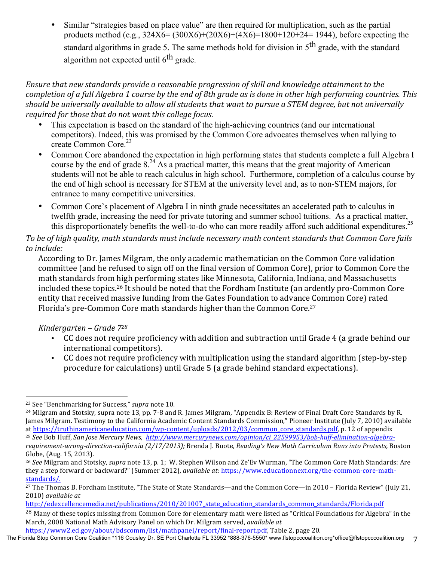• Similar "strategies based on place value" are then required for multiplication, such as the partial products method (e.g., 324X6= (300X6)+(20X6)+(4X6)=1800+120+24= 1944), before expecting the standard algorithms in grade 5. The same methods hold for division in 5<sup>th</sup> grade, with the standard algorithm not expected until 6<sup>th</sup> grade.

### *Ensure that new standards provide a reasonable progression of skill and knowledge attainment to the completion of a full Algebra 1 course by the end of 8th grade as is done in other high performing countries. This should be universally available to allow all students that want to pursue a STEM degree, but not universally required for those that do not want this college focus.*

- This expectation is based on the standard of the high-achieving countries (and our international competitors). Indeed, this was promised by the Common Core advocates themselves when rallying to create Common Core. 23
- Common Core abandoned the expectation in high performing states that students complete a full Algebra I course by the end of grade  $8<sup>24</sup>$  As a practical matter, this means that the great majority of American students will not be able to reach calculus in high school. Furthermore, completion of a calculus course by the end of high school is necessary for STEM at the university level and, as to non-STEM majors, for entrance to many competitive universities.
- Common Core's placement of Algebra I in ninth grade necessitates an accelerated path to calculus in twelfth grade, increasing the need for private tutoring and summer school tuitions. As a practical matter, this disproportionately benefits the well-to-do who can more readily afford such additional expenditures.<sup>25</sup>

## To be of high quality, math standards must include necessary math content standards that Common Core fails to *include:*

According to Dr. James Milgram, the only academic mathematician on the Common Core validation committee (and he refused to sign off on the final version of Common Core), prior to Common Core the math standards from high performing states like Minnesota, California, Indiana, and Massachusetts included these topics.<sup>26</sup> It should be noted that the Fordham Institute (an ardently pro-Common Core entity that received massive funding from the Gates Foundation to advance Common Core) rated Florida's pre-Common Core math standards higher than the Common Core.<sup>27</sup>

## *Kindergarten – Grade 728*

- CC does not require proficiency with addition and subtraction until Grade 4 (a grade behind our international competitors).
- CC does not require proficiency with multiplication using the standard algorithm (step-by-step) procedure for calculations) until Grade 5 (a grade behind standard expectations).

Globe, (Aug. 15, 2013).

https://www2.ed.gov/about/bdscomm/list/mathpanel/report/final-report.pdf, Table 2, page 20.

 <sup>23</sup> See "Benchmarking for Success," *supra* note 10.

<sup>&</sup>lt;sup>24</sup> Milgram and Stotsky, supra note 13, pp. 7-8 and R. James Milgram, "Appendix B: Review of Final Draft Core Standards by R. James Milgram. Testimony to the California Academic Content Standards Commission," Pioneer Institute (July 7, 2010) available at https://truthinamericaneducation.com/wp-content/uploads/2012/03/common\_core\_standards.pdf, p. 12 of appendix <sup>25</sup> See Bob Huff, San Jose Mercury News, http://www.mercurynews.com/opinion/ci\_22599953/bob-huff-elimination-algebrarequirement-wrong-direction-california  $(2/17/2013)$ ; Brenda J. Buote, *Reading's New Math Curriculum Runs into Protests*, Boston

<sup>&</sup>lt;sup>26</sup> See Milgram and Stotsky, *supra* note 13, p. 1; W. Stephen Wilson and Ze'Ev Wurman, "The Common Core Math Standards: Are they a step forward or backward?" (Summer 2012), *available at:* https://www.educationnext.org/the-common-core-mathstandards/.

<sup>&</sup>lt;sup>27</sup> The Thomas B. Fordham Institute, "The State of State Standards—and the Common Core—in 2010 - Florida Review" (July 21, 2010) *available at*

http://edexcellencemedia.net/publications/2010/201007\_state\_education\_standards\_common\_standards/Florida.pdf

<sup>&</sup>lt;sup>28</sup> Many of these topics missing from Common Core for elementary math were listed as "Critical Foundations for Algebra" in the March, 2008 National Math Advisory Panel on which Dr. Milgram served, *available at*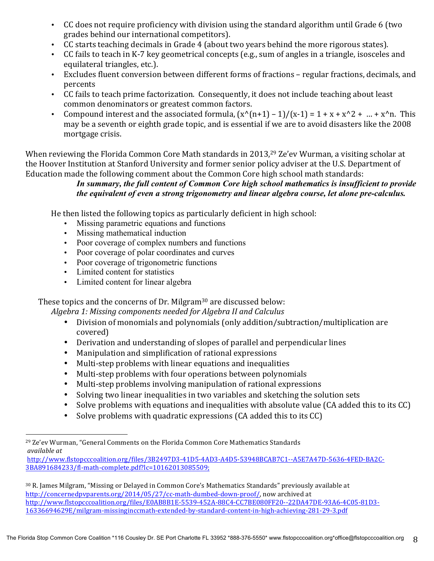- CC does not require proficiency with division using the standard algorithm until Grade 6 (two grades behind our international competitors).
- CC starts teaching decimals in Grade 4 (about two years behind the more rigorous states).
- CC fails to teach in K-7 key geometrical concepts (e.g., sum of angles in a triangle, isosceles and equilateral triangles, etc.).
- Excludes fluent conversion between different forms of fractions regular fractions, decimals, and percents
- CC fails to teach prime factorization. Consequently, it does not include teaching about least common denominators or greatest common factors.
- Compound interest and the associated formula,  $(x^{(n+1)}-1)/(x-1) = 1 + x + x^{(n+1)} x^{n}$ . This may be a seventh or eighth grade topic, and is essential if we are to avoid disasters like the 2008 mortgage crisis.

When reviewing the Florida Common Core Math standards in 2013,<sup>29</sup> Ze'ev Wurman, a visiting scholar at the Hoover Institution at Stanford University and former senior policy adviser at the U.S. Department of Education made the following comment about the Common Core high school math standards:

## *In summary, the full content of Common Core high school mathematics is insufficient to provide the equivalent of even a strong trigonometry and linear algebra course, let alone pre-calculus.*

He then listed the following topics as particularly deficient in high school:

- Missing parametric equations and functions
- Missing mathematical induction
- Poor coverage of complex numbers and functions
- Poor coverage of polar coordinates and curves
- Poor coverage of trigonometric functions
- Limited content for statistics

 

• Limited content for linear algebra

These topics and the concerns of Dr. Milgram $30$  are discussed below:

Algebra 1: Missing components needed for Algebra II and Calculus

- Division of monomials and polynomials (only addition/subtraction/multiplication are covered)
- Derivation and understanding of slopes of parallel and perpendicular lines
- Manipulation and simplification of rational expressions
- Multi-step problems with linear equations and inequalities
- Multi-step problems with four operations between polynomials
- Multi-step problems involving manipulation of rational expressions
- Solving two linear inequalities in two variables and sketching the solution sets
- Solve problems with equations and inequalities with absolute value (CA added this to its CC)
- Solve problems with quadratic expressions (CA added this to its CC)

http://www.flstopcccoalition.org/files/3B2497D3-41D5-4AD3-A4D5-53948BCAB7C1--A5E7A47D-5636-4FED-BA2C-3BA891684233/fl-math-complete.pdf?lc=10162013085509;

 $29$  Ze'ev Wurman, "General Comments on the Florida Common Core Mathematics Standards *available at*

<sup>30</sup> R. James Milgram, "Missing or Delayed in Common Core's Mathematics Standards" previously available at http://concernedpvparents.org/2014/05/27/cc-math-dumbed-down-proof/, now archived at http://www.flstopcccoalition.org/files/E0AB8B1E-5539-452A-88C4-CC7BE080FF20--22DA47DE-93A6-4C05-81D3- 16336694629E/milgram-missinginccmath-extended-by-standard-content-in-high-achieving-281-29-3.pdf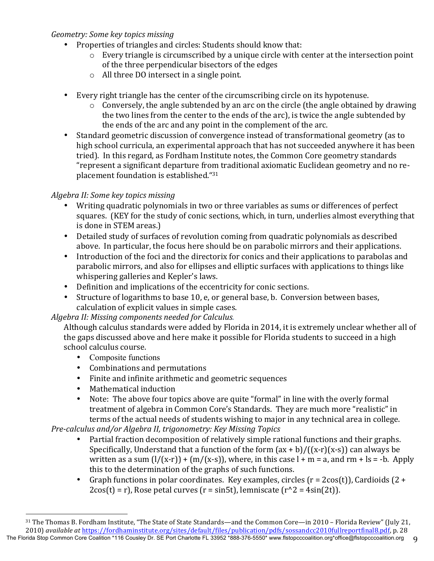## *Geometry: Some key topics missing*

- Properties of triangles and circles: Students should know that:
	- $\circ$  Every triangle is circumscribed by a unique circle with center at the intersection point of the three perpendicular bisectors of the edges
	- $\circ$  All three DO intersect in a single point.
- Every right triangle has the center of the circumscribing circle on its hypotenuse.
	- $\circ$  Conversely, the angle subtended by an arc on the circle (the angle obtained by drawing the two lines from the center to the ends of the arc), is twice the angle subtended by the ends of the arc and any point in the complement of the arc.
- Standard geometric discussion of convergence instead of transformational geometry (as to high school curricula, an experimental approach that has not succeeded anywhere it has been tried). In this regard, as Fordham Institute notes, the Common Core geometry standards "represent a significant departure from traditional axiomatic Euclidean geometry and no replacement foundation is established. " $31$

# *Algebra II: Some key topics missing*

- Writing quadratic polynomials in two or three variables as sums or differences of perfect squares. (KEY for the study of conic sections, which, in turn, underlies almost everything that is done in STEM areas.)
- Detailed study of surfaces of revolution coming from quadratic polynomials as described above. In particular, the focus here should be on parabolic mirrors and their applications.
- Introduction of the foci and the directorix for conics and their applications to parabolas and parabolic mirrors, and also for ellipses and elliptic surfaces with applications to things like whispering galleries and Kepler's laws.
- Definition and implications of the eccentricity for conic sections.
- Structure of logarithms to base 10, e, or general base, b. Conversion between bases, calculation of explicit values in simple cases.

## *Algebra II: Missing components needed for Calculus.*

Although calculus standards were added by Florida in 2014, it is extremely unclear whether all of the gaps discussed above and here make it possible for Florida students to succeed in a high school calculus course.

• Composite functions

 

- Combinations and permutations
- Finite and infinite arithmetic and geometric sequences
- Mathematical induction
- Note: The above four topics above are quite "formal" in line with the overly formal treatment of algebra in Common Core's Standards. They are much more "realistic" in terms of the actual needs of students wishing to major in any technical area in college.

*Pre-calculus and/or Algebra II, trigonometry: Key Missing Topics* 

- Partial fraction decomposition of relatively simple rational functions and their graphs. Specifically, Understand that a function of the form  $(ax + b) / ((x-r)(x-s))$  can always be written as a sum  $(1/(x-r)) + (m/(x-s))$ , where, in this case  $l + m = a$ , and rm + ls = -b. Apply this to the determination of the graphs of such functions.
- Graph functions in polar coordinates. Key examples, circles  $(r = 2cos(t))$ , Cardioids  $(2 +$  $2\cos(t) = r$ , Rose petal curves ( $r = \sin 5t$ ), lemniscate  $(r^2 - 4\sin(2t))$ .

The Florida Stop Common Core Coalition \*116 Cousley Dr. SE Port Charlotte FL 33952 \*888-376-5550\* www.flstopcccoalition.org \*office@flstopcccoalition.org 31 The Thomas B. Fordham Institute, "The State of State Standards—and the Common Core—in 2010 - Florida Review" (July 21, 2010) *available at https://fordhaminstitute.org/sites/default/files/publication/pdfs/sossandcc2010fullreportfinal8.pdf, p. 28*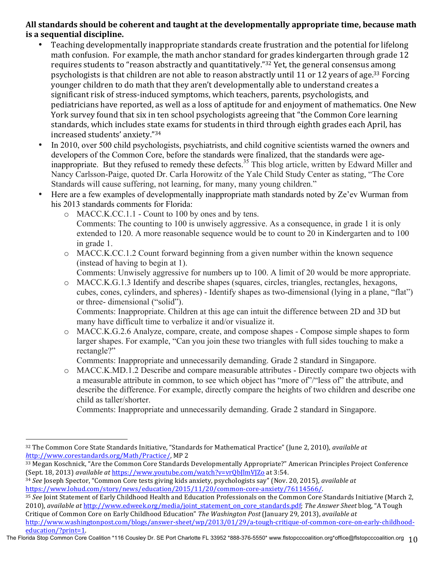## All standards should be coherent and taught at the developmentally appropriate time, because math **is a sequential discipline.**

- Teaching developmentally inappropriate standards create frustration and the potential for lifelong math confusion. For example, the math anchor standard for grades kindergarten through grade 12 requires students to "reason abstractly and quantitatively."<sup>32</sup> Yet, the general consensus among psychologists is that children are not able to reason abstractly until 11 or 12 years of age.<sup>33</sup> Forcing younger children to do math that they aren't developmentally able to understand creates a significant risk of stress-induced symptoms, which teachers, parents, psychologists, and pediatricians have reported, as well as a loss of aptitude for and enjoyment of mathematics. One New York survey found that six in ten school psychologists agreeing that "the Common Core learning standards, which includes state exams for students in third through eighth grades each April, has increased students' anxiety."34
- In 2010, over 500 child psychologists, psychiatrists, and child cognitive scientists warned the owners and developers of the Common Core, before the standards were finalized, that the standards were ageinappropriate. But they refused to remedy these defects.<sup>35</sup> This blog article, written by Edward Miller and Nancy Carlsson-Paige, quoted Dr. Carla Horowitz of the Yale Child Study Center as stating, "The Core Standards will cause suffering, not learning, for many, many young children."
- Here are a few examples of developmentally inappropriate math standards noted by Ze'ev Wurman from his 2013 standards comments for Florida:
	- o MACC.K.CC.1.1 Count to 100 by ones and by tens. Comments: The counting to 100 is unwisely aggressive. As a consequence, in grade 1 it is only
	- extended to 120. A more reasonable sequence would be to count to 20 in Kindergarten and to 100 in grade 1.
	- o MACC.K.CC.1.2 Count forward beginning from a given number within the known sequence (instead of having to begin at 1).
		- Comments: Unwisely aggressive for numbers up to 100. A limit of 20 would be more appropriate.
	- o MACC.K.G.1.3 Identify and describe shapes (squares, circles, triangles, rectangles, hexagons, cubes, cones, cylinders, and spheres) - Identify shapes as two-dimensional (lying in a plane, "flat") or three- dimensional ("solid").

Comments: Inappropriate. Children at this age can intuit the difference between 2D and 3D but many have difficult time to verbalize it and/or visualize it.

o MACC.K.G.2.6 Analyze, compare, create, and compose shapes - Compose simple shapes to form larger shapes. For example, "Can you join these two triangles with full sides touching to make a rectangle?"

Comments: Inappropriate and unnecessarily demanding. Grade 2 standard in Singapore.

o MACC.K.MD.1.2 Describe and compare measurable attributes - Directly compare two objects with a measurable attribute in common, to see which object has "more of"/"less of" the attribute, and describe the difference. For example, directly compare the heights of two children and describe one child as taller/shorter.

Comments: Inappropriate and unnecessarily demanding. Grade 2 standard in Singapore.

35 See Joint Statement of Early Childhood Health and Education Professionals on the Common Core Standards Initiative (March 2, 2010), *available at http://www.edweek.org/media/joint\_statement\_on\_core\_standards.pdf; The Answer Sheet blog, "A Tough* Critique of Common Core on Early Childhood Education" *The Washington Post* (January 29, 2013), *available at* http://www.washingtonpost.com/blogs/answer-sheet/wp/2013/01/29/a-tough-critique-of-common-core-on-early-childhoodeducation/?print=1. 

The Florida Stop Common Core Coalition \*116 Cousley Dr. SE Port Charlotte FL 33952 \*888-376-5550\* www.flstopcccoalition.org \*office@flstopcccoalition.org 10

 32 The Common Core State Standards Initiative, "Standards for Mathematical Practice" (June 2, 2010), *available at http://www.corestandards.org/Math/Practice/, MP 2* 

<sup>33</sup> Megan Koschnick, "Are the Common Core Standards Developmentally Appropriate?" American Principles Project Conference (Sept. 18, 2013) *available at https://www.youtube.com/watch?v=vrQbJlmVJZo at 3:54.* 

<sup>&</sup>lt;sup>34</sup> *See* Joseph Spector, "Common Core tests giving kids anxiety, psychologists say" (Nov. 20, 2015), *available at* https://www.lohud.com/story/news/education/2015/11/20/common-core-anxiety/76114566/.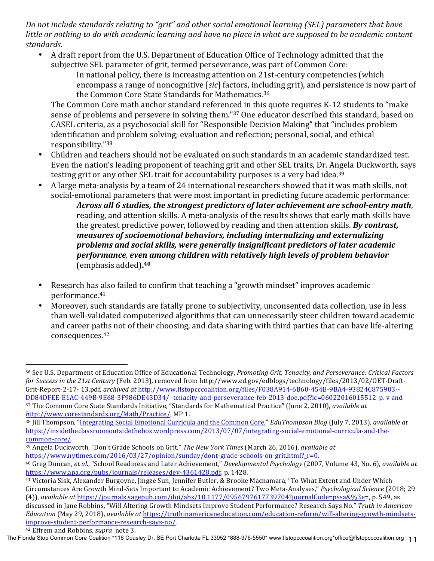*Do* not include standards relating to "grit" and other social emotional learning (SEL) parameters that have *little* or nothing to do with academic learning and have no place in what are supposed to be academic content standards.

- A draft report from the U.S. Department of Education Office of Technology admitted that the subjective SEL parameter of grit, termed perseverance, was part of Common Core:
	- In national policy, there is increasing attention on 21st-century competencies (which encompass a range of noncognitive [*sic*] factors, including grit), and persistence is now part of the Common Core State Standards for Mathematics.<sup>36</sup>

The Common Core math anchor standard referenced in this quote requires K-12 students to "make sense of problems and persevere in solving them."<sup>37</sup> One educator described this standard, based on CASEL criteria, as a psychosocial skill for "Responsible Decision Making" that "includes problem identification and problem solving; evaluation and reflection; personal, social, and ethical responsibility."38

- Children and teachers should not be evaluated on such standards in an academic standardized test. Even the nation's leading proponent of teaching grit and other SEL traits, Dr. Angela Duckworth, says testing grit or any other SEL trait for accountability purposes is a very bad idea.<sup>39</sup>
- A large meta-analysis by a team of 24 international researchers showed that it was math skills, not social-emotional parameters that were most important in predicting future academic performance:

*Across all 6 studies, the strongest predictors of later achievement are school-entry math,* reading, and attention skills. A meta-analysis of the results shows that early math skills have the greatest predictive power, followed by reading and then attention skills. **By contrast,** *measures of socioemotional behaviors, including internalizing and externalizing* problems and social skills, were generally insignificant predictors of later academic *performance, even among children with relatively high levels of problem behavior* (emphasis added)**. 40**

- Research has also failed to confirm that teaching a "growth mindset" improves academic performance.41
- Moreover, such standards are fatally prone to subjectivity, unconsented data collection, use in less than well-validated computerized algorithms that can unnecessarily steer children toward academic and career paths not of their choosing, and data sharing with third parties that can have life-altering consequences.42

<sup>37</sup> The Common Core State Standards Initiative, "Standards for Mathematical Practice" (June 2, 2010), *available at* http://www.corestandards.org/Math/Practice/, MP 1.

<sup>&</sup>lt;sup>36</sup> See U.S. Department of Education Office of Educational Technology, *Promoting Grit, Tenacity, and Perseverance: Critical Factors for Success in the 21st Century* (Feb. 2013), removed from http://www.ed.gov/edblogs/technology/files/2013/02/OET-Draft-Grit-Report-2-17-13.pdf, archived at http://www.flstopcccoalition.org/files/F038A914-6B60-454B-9BA4-93824C875903--DD84DFEE-E1AC-449B-9E68-3F986DE43D34/ -tenacity-and-perseverance-feb-2013-doe.pdf?lc=06022016015512 p.v and

<sup>&</sup>lt;sup>38</sup> Jill Thompson, "Integrating Social Emotional Curricula and the Common Core," *EduThompson Blog* (July 7, 2013), *available at* https://insidetheclassroomoutsidethebox.wordpress.com/2013/07/07/integrating-social-emotional-curricula-and-thecommon-core/.

<sup>&</sup>lt;sup>39</sup> Angela Duckworth, "Don't Grade Schools on Grit," The New York Times (March 26, 2016), *available at* https://www.nytimes.com/2016/03/27/opinion/sunday/dont-grade-schools-on-grit.html?\_r=0.

<sup>&</sup>lt;sup>40</sup> Greg Duncan, et al., "School Readiness and Later Achievement," *Developmental Psychology* (2007, Volume 43, No. 6), *available* at https://www.apa.org/pubs/journals/releases/dev-4361428.pdf, p. 1428.

<sup>&</sup>lt;sup>41</sup> Victoria Sisk, Alexander Burgoyne, Jingze Sun, Jennifer Butler, & Brooke Macnamara, "To What Extent and Under Which Circumstances Are Growth Mind-Sets Important to Academic Achievement? Two Meta-Analyses," *Psychological Science* (2018; 29  $(4)$ ), *available at* https://journals.sagepub.com/doi/abs/10.1177/0956797617739704?journalCode=pssa&%3e=, p. 549, as discussed in Jane Robbins, "Will Altering Growth Mindsets Improve Student Performance? Research Says No." Truth in American *Education* (May 29, 2018), *available at https://truthinamericaneducation.com/education-reform/will-altering-growth-mindsets-*

improve-student-performance-research-says-no/. <sup>42</sup> Effrem and Robbins, *supra* note 3.

The Florida Stop Common Core Coalition \*116 Cousley Dr. SE Port Charlotte FL 33952 \*888-376-5550\* www.flstopcccoalition.org\*office@flstopcccoalition.org 11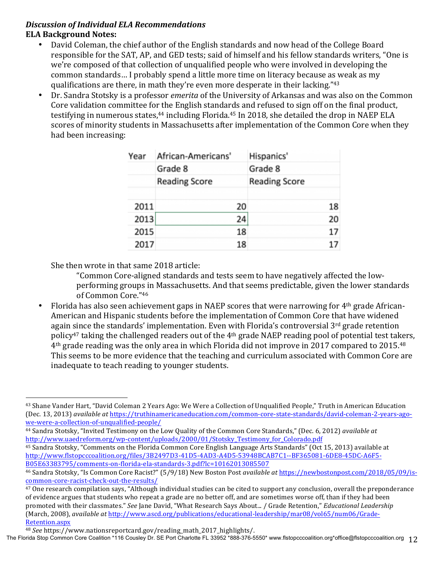#### *Discussion of Individual ELA Recommendations* **ELA Background Notes:**

- David Coleman, the chief author of the English standards and now head of the College Board responsible for the SAT, AP, and GED tests; said of himself and his fellow standards writers, "One is we're composed of that collection of unqualified people who were involved in developing the common standards... I probably spend a little more time on literacy because as weak as my qualifications are there, in math they're even more desperate in their lacking."<sup>43</sup>
- Dr. Sandra Stotsky is a professor *emerita* of the University of Arkansas and was also on the Common Core validation committee for the English standards and refused to sign off on the final product, testifying in numerous states,<sup>44</sup> including Florida.<sup>45</sup> In 2018, she detailed the drop in NAEP ELA scores of minority students in Massachusetts after implementation of the Common Core when they had been increasing:

| Year | African-Americans'   | Hispanics' |                      |    |
|------|----------------------|------------|----------------------|----|
|      | Grade 8              |            | Grade 8              |    |
|      | <b>Reading Score</b> |            | <b>Reading Score</b> |    |
| 2011 |                      | 20         |                      | 18 |
| 2013 |                      | 24         |                      | 20 |
| 2015 |                      | 18         |                      | 17 |
| 2017 |                      | 18         |                      | 17 |

She then wrote in that same 2018 article:

- "Common Core-aligned standards and tests seem to have negatively affected the lowperforming groups in Massachusetts. And that seems predictable, given the lower standards of Common Core."46
- Florida has also seen achievement gaps in NAEP scores that were narrowing for 4<sup>th</sup> grade African-American and Hispanic students before the implementation of Common Core that have widened again since the standards' implementation. Even with Florida's controversial 3<sup>rd</sup> grade retention policy<sup>47</sup> taking the challenged readers out of the  $4<sup>th</sup>$  grade NAEP reading pool of potential test takers,  $4<sup>th</sup>$  grade reading was the only area in which Florida did not improve in 2017 compared to 2015.<sup>48</sup> This seems to be more evidence that the teaching and curriculum associated with Common Core are inadequate to teach reading to younger students.

- <sup>44</sup> Sandra Stotsky, "Invited Testimony on the Low Quality of the Common Core Standards," (Dec. 6, 2012) *available at* http://www.uaedreform.org/wp-content/uploads/2000/01/Stotsky\_Testimony\_for\_Colorado.pdf
- <sup>45</sup> Sandra Stotsky, "Comments on the Florida Common Core English Language Arts Standards" (Oct 15, 2013) available at http://www.flstopcccoalition.org/files/3B2497D3-41D5-4AD3-A4D5-53948BCAB7C1--BF365081-6DE8-45DC-A6F5- B05E63383795/comments-on-florida-ela-standards-3.pdf?lc=10162013085507

<sup>&</sup>lt;sup>43</sup> Shane Vander Hart, "David Coleman 2 Years Ago: We Were a Collection of Unqualified People," Truth in American Education (Dec. 13, 2013) *available at* https://truthinamericaneducation.com/common-core-state-standards/david-coleman-2-years-agowe-were-a-collection-of-unqualified-people/

<sup>&</sup>lt;sup>46</sup> Sandra Stotsky, "Is Common Core Racist?" (5/9/18) New Boston Post *available at https://newbostonpost.com/2018/05/09/is*common-core-racist-check-out-the-results/

 $47$  One research compilation says, "Although individual studies can be cited to support any conclusion, overall the preponderance of evidence argues that students who repeat a grade are no better off, and are sometimes worse off, than if they had been promoted with their classmates." See Jane David, "What Research Says About... / Grade Retention," *Educational Leadership* (March, 2008), *available at http://www.ascd.org/publications/educational-leadership/mar08/vol65/num06/Grade-*Retention.aspx

<sup>48</sup> *See* https://www.nationsreportcard.gov/reading\_math\_2017\_highlights/.

The Florida Stop Common Core Coalition \*116 Cousley Dr. SE Port Charlotte FL 33952 \*888-376-5550\* www.flstopcccoalition.org \*office@flstopcccoalition.org 12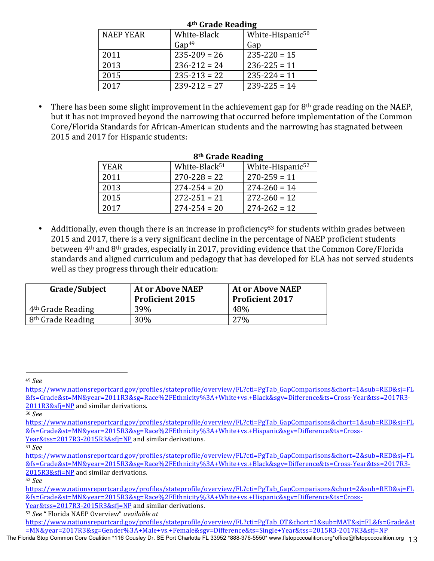| 4 <sup>th</sup> Grade Reading |                   |                              |  |
|-------------------------------|-------------------|------------------------------|--|
| <b>NAEP YEAR</b>              | White-Black       | White-Hispanic <sup>50</sup> |  |
|                               | Gap <sup>49</sup> | Gap                          |  |
| 2011                          | $235 - 209 = 26$  | $235 - 220 = 15$             |  |
| 2013                          | $236 - 212 = 24$  | $236 - 225 = 11$             |  |
| 2015                          | $235 - 213 = 22$  | $235 - 224 = 11$             |  |
| 2017                          | $239 - 212 = 27$  | $239 - 225 = 14$             |  |

There has been some slight improvement in the achievement gap for  $8<sup>th</sup>$  grade reading on the NAEP, but it has not improved beyond the narrowing that occurred before implementation of the Common Core/Florida Standards for African-American students and the narrowing has stagnated between 2015 and 2017 for Hispanic students:

| 8 <sup>th</sup> Grade Reading |                           |                              |
|-------------------------------|---------------------------|------------------------------|
| <b>YEAR</b>                   | White-Black <sup>51</sup> | White-Hispanic <sup>52</sup> |
| 2011                          | $270 - 228 = 22$          | $270 - 259 = 11$             |
| 2013                          | $274 - 254 = 20$          | $274 - 260 = 14$             |
| 2015                          | $272 - 251 = 21$          | $272 - 260 = 12$             |
| 2017                          | $274 - 254 = 20$          | $274 - 262 = 12$             |

Additionally, even though there is an increase in proficiency<sup>53</sup> for students within grades between 2015 and 2017, there is a very significant decline in the percentage of NAEP proficient students between 4<sup>th</sup> and 8<sup>th</sup> grades, especially in 2017, providing evidence that the Common Core/Florida standards and aligned curriculum and pedagogy that has developed for ELA has not served students well as they progress through their education:

| Grade/Subject                 | <b>At or Above NAEP</b><br><b>Proficient 2015</b> | <b>At or Above NAEP</b><br><b>Proficient 2017</b> |
|-------------------------------|---------------------------------------------------|---------------------------------------------------|
| 4 <sup>th</sup> Grade Reading | 39%                                               | 48%                                               |
| 8 <sup>th</sup> Grade Reading | 30%                                               | <b>27%</b>                                        |

<sup>50</sup> *See*

<sup>51</sup> *See* 

<sup>49</sup> *See* 

https://www.nationsreportcard.gov/profiles/stateprofile/overview/FL?cti=PgTab\_GapComparisons&chort=1&sub=RED&sj=FL &fs=Grade&st=MN&year=2011R3&sg=Race%2FEthnicity%3A+White+vs.+Black&sgv=Difference&ts=Cross-Year&tss=2017R3- 2011R3&sfi=NP and similar derivations.

https://www.nationsreportcard.gov/profiles/stateprofile/overview/FL?cti=PgTab\_GapComparisons&chort=1&sub=RED&sj=FL &fs=Grade&st=MN&year=2015R3&sg=Race%2FEthnicity%3A+White+vs.+Hispanic&sgv=Difference&ts=Cross-Year&tss=2017R3-2015R3&sfj=NP and similar derivations.

https://www.nationsreportcard.gov/profiles/stateprofile/overview/FL?cti=PgTab\_GapComparisons&chort=2&sub=RED&sj=FL &fs=Grade&st=MN&year=2015R3&sg=Race%2FEthnicity%3A+White+vs.+Black&sgv=Difference&ts=Cross-Year&tss=2017R3- 2015R3&sfi=NP and similar derivations.

<sup>52</sup> *See* 

https://www.nationsreportcard.gov/profiles/stateprofile/overview/FL?cti=PgTab\_GapComparisons&chort=2&sub=RED&sj=FL &fs=Grade&st=MN&year=2015R3&sg=Race%2FEthnicity%3A+White+vs.+Hispanic&sgv=Difference&ts=Cross-

Year&tss=2017R3-2015R3&sfj=NP and similar derivations.

<sup>53</sup> See " Florida NAEP Overview" available at

https://www.nationsreportcard.gov/profiles/stateprofile/overview/FL?cti=PgTab\_OT&chort=1&sub=MAT&sj=FL&fs=Grade&st =MN&year=2017R3&sg=Gender%3A+Male+vs.+Female&sgv=Difference&ts=Single+Year&tss=2015R3-2017R3&sfj=NP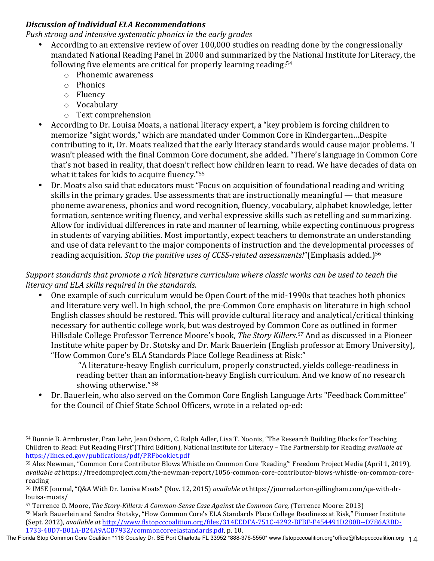## **Discussion of Individual ELA Recommendations**

*Push strong and intensive systematic phonics in the early grades* 

- According to an extensive review of over 100,000 studies on reading done by the congressionally mandated National Reading Panel in 2000 and summarized by the National Institute for Literacy, the following five elements are critical for properly learning reading: $54$ 
	- $\circ$  Phonemic awareness
	- o Phonics
	- o Fluency

 

- o Vocabulary
- $\circ$  Text comprehension
- According to Dr. Louisa Moats, a national literacy expert, a "key problem is forcing children to memorize "sight words," which are mandated under Common Core in Kindergarten...Despite contributing to it, Dr. Moats realized that the early literacy standards would cause major problems. 'I wasn't pleased with the final Common Core document, she added. "There's language in Common Core that's not based in reality, that doesn't reflect how children learn to read. We have decades of data on what it takes for kids to acquire fluency." $55$
- Dr. Moats also said that educators must "Focus on acquisition of foundational reading and writing skills in the primary grades. Use assessments that are instructionally meaningful  $-$  that measure phoneme awareness, phonics and word recognition, fluency, vocabulary, alphabet knowledge, letter formation, sentence writing fluency, and verbal expressive skills such as retelling and summarizing. Allow for individual differences in rate and manner of learning, while expecting continuous progress in students of varying abilities. Most importantly, expect teachers to demonstrate an understanding and use of data relevant to the major components of instruction and the developmental processes of reading acquisition. *Stop the punitive uses of CCSS-related assessments!*"(Emphasis added.)<sup>56</sup>

*Support standards that promote a rich literature curriculum where classic works can be used to teach the literacy and ELA skills required in the standards.*

One example of such curriculum would be Open Court of the mid-1990s that teaches both phonics and literature very well. In high school, the pre-Common Core emphasis on literature in high school English classes should be restored. This will provide cultural literacy and analytical/critical thinking necessary for authentic college work, but was destroyed by Common Core as outlined in former Hillsdale College Professor Terrence Moore's book, *The Story Killers.<sup>57</sup>* And as discussed in a Pioneer Institute white paper by Dr. Stotsky and Dr. Mark Bauerlein (English professor at Emory University), "How Common Core's ELA Standards Place College Readiness at Risk:"

"A literature-heavy English curriculum, properly constructed, yields college-readiness in reading better than an information-heavy English curriculum. And we know of no research showing otherwise." 58

Dr. Bauerlein, who also served on the Common Core English Language Arts "Feedback Committee" for the Council of Chief State School Officers, wrote in a related op-ed:

<sup>54</sup> Bonnie B. Armbruster, Fran Lehr, Jean Osborn, C. Ralph Adler, Lisa T. Noonis, "The Research Building Blocks for Teaching Children to Read: Put Reading First"(Third Edition), National Institute for Literacy - The Partnership for Reading *available at* https://lincs.ed.gov/publications/pdf/PRFbooklet.pdf 

<sup>55</sup> Alex Newman, "Common Core Contributor Blows Whistle on Common Core 'Reading'" Freedom Project Media (April 1, 2019), *available at* https://freedomproject.com/the-newman-report/1056-common-core-contributor-blows-whistle-on-common-corereading

<sup>56</sup> IMSE Journal, "Q&A With Dr. Louisa Moats" (Nov. 12, 2015) *available at* https://journal.orton-gillingham.com/qa-with-drlouisa-moats/

<sup>57</sup> Terrence O. Moore, *The Story-Killers: A Common-Sense Case Against the Common Core,* (Terrence Moore: 2013) 58 Mark Bauerlein and Sandra Stotsky, "How Common Core's ELA Standards Place College Readiness at Risk," Pioneer Institute (Sept. 2012), *available at http://www.flstopcccoalition.org/files/314EEDFA-751C-4292-BFBF-F454491D280B--D786A3BD-*1733-48D7-B01A-B24A9ACB7932/commoncoreelastandards.pdf, p. 10.

The Florida Stop Common Core Coalition \*116 Cousley Dr. SE Port Charlotte FL 33952 \*888-376-5550\* www.flstopcccoalition.org\*office@flstopcccoalition.org 14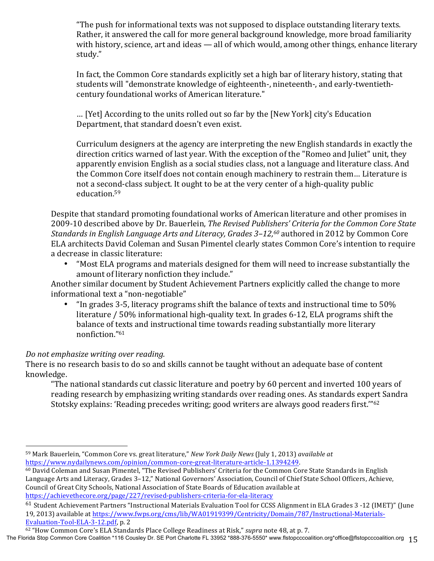"The push for informational texts was not supposed to displace outstanding literary texts. Rather, it answered the call for more general background knowledge, more broad familiarity with history, science, art and ideas — all of which would, among other things, enhance literary study."

In fact, the Common Core standards explicitly set a high bar of literary history, stating that students will "demonstrate knowledge of eighteenth-, nineteenth-, and early-twentiethcentury foundational works of American literature."

... [Yet] According to the units rolled out so far by the [New York] city's Education Department, that standard doesn't even exist.

Curriculum designers at the agency are interpreting the new English standards in exactly the direction critics warned of last year. With the exception of the "Romeo and Juliet" unit, they apparently envision English as a social studies class, not a language and literature class. And the Common Core itself does not contain enough machinery to restrain them... Literature is not a second-class subject. It ought to be at the very center of a high-quality public education.59

Despite that standard promoting foundational works of American literature and other promises in 2009-10 described above by Dr. Bauerlein, *The Revised Publishers' Criteria for the Common Core State Standards in English Language Arts and Literacy, Grades 3–12,<sup>60</sup> authored in 2012 by Common Core* ELA architects David Coleman and Susan Pimentel clearly states Common Core's intention to require a decrease in classic literature:

"Most ELA programs and materials designed for them will need to increase substantially the amount of literary nonfiction they include."

Another similar document by Student Achievement Partners explicitly called the change to more informational text a "non-negotiable"

"In grades  $3-5$ , literacy programs shift the balance of texts and instructional time to  $50\%$ literature  $/$  50% informational high-quality text. In grades 6-12, ELA programs shift the balance of texts and instructional time towards reading substantially more literary nonfiction."61

## *Do not emphasize writing over reading.*

There is no research basis to do so and skills cannot be taught without an adequate base of content knowledge.

"The national standards cut classic literature and poetry by 60 percent and inverted 100 years of reading research by emphasizing writing standards over reading ones. As standards expert Sandra Stotsky explains: 'Reading precedes writing; good writers are always good readers first."<sup>62</sup>

 59 Mark Bauerlein, "Common Core vs. great literature," *New York Daily News* (July 1, 2013) *available at* https://www.nydailynews.com/opinion/common-core-great-literature-article-1.1394249. 

<sup>60</sup> David Coleman and Susan Pimentel, "The Revised Publishers' Criteria for the Common Core State Standards in English Language Arts and Literacy, Grades 3-12," National Governors' Association, Council of Chief State School Officers, Achieve, Council of Great City Schools, National Association of State Boards of Education available at https://achievethecore.org/page/227/revised-publishers-criteria-for-ela-literacy

<sup>61</sup> Student Achievement Partners "Instructional Materials Evaluation Tool for CCSS Alignment in ELA Grades 3 -12 (IMET)" (June 19, 2013) available at https://www.fwps.org/cms/lib/WA01919399/Centricity/Domain/787/Instructional-Materials-Evaluation-Tool-ELA-3-12.pdf, p. 2

<sup>&</sup>lt;sup>62</sup> "How Common Core's ELA Standards Place College Readiness at Risk," *supra* note 48, at p. 7.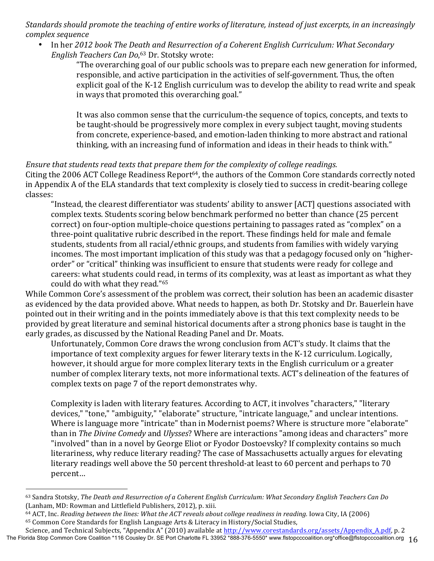*Standards should promote the teaching of entire works of literature, instead of just excerpts, in an increasingly complex sequence*

In her 2012 book The Death and Resurrection of a Coherent English Curriculum: What Secondary *English Teachers Can Do*, <sup>63</sup> Dr. Stotsky wrote:

"The overarching goal of our public schools was to prepare each new generation for informed, responsible, and active participation in the activities of self-government. Thus, the often explicit goal of the K-12 English curriculum was to develop the ability to read write and speak in ways that promoted this overarching goal."

It was also common sense that the curriculum-the sequence of topics, concepts, and texts to be taught-should be progressively more complex in every subject taught, moving students from concrete, experience-based, and emotion-laden thinking to more abstract and rational thinking, with an increasing fund of information and ideas in their heads to think with."

#### *Ensure that students read texts that prepare them for the complexity of college readings.*

Citing the 2006 ACT College Readiness Report<sup>64</sup>, the authors of the Common Core standards correctly noted in Appendix A of the ELA standards that text complexity is closely tied to success in credit-bearing college classes:

"Instead, the clearest differentiator was students' ability to answer [ACT] questions associated with complex texts. Students scoring below benchmark performed no better than chance (25 percent correct) on four-option multiple-choice questions pertaining to passages rated as "complex" on a three-point qualitative rubric described in the report. These findings held for male and female students, students from all racial/ethnic groups, and students from families with widely varying incomes. The most important implication of this study was that a pedagogy focused only on "higherorder" or "critical" thinking was insufficient to ensure that students were ready for college and careers: what students could read, in terms of its complexity, was at least as important as what they could do with what they read."<sup>65</sup>

While Common Core's assessment of the problem was correct, their solution has been an academic disaster as evidenced by the data provided above. What needs to happen, as both Dr. Stotsky and Dr. Bauerlein have pointed out in their writing and in the points immediately above is that this text complexity needs to be provided by great literature and seminal historical documents after a strong phonics base is taught in the early grades, as discussed by the National Reading Panel and Dr. Moats.

Unfortunately, Common Core draws the wrong conclusion from ACT's study. It claims that the importance of text complexity argues for fewer literary texts in the K-12 curriculum. Logically, however, it should argue for more complex literary texts in the English curriculum or a greater number of complex literary texts, not more informational texts. ACT's delineation of the features of complex texts on page 7 of the report demonstrates why.

Complexity is laden with literary features. According to ACT, it involves "characters," "literary devices," "tone," "ambiguity," "elaborate" structure, "intricate language," and unclear intentions. Where is language more "intricate" than in Modernist poems? Where is structure more "elaborate" than in *The Divine Comedy* and *Ulysses*? Where are interactions "among ideas and characters" more "involved" than in a novel by George Eliot or Fyodor Dostoevsky? If complexity contains so much literariness, why reduce literary reading? The case of Massachusetts actually argues for elevating literary readings well above the 50 percent threshold-at least to 60 percent and perhaps to 70 percent…

<sup>&</sup>lt;sup>63</sup> Sandra Stotsky, *The Death and Resurrection of a Coherent English Curriculum: What Secondary English Teachers Can Do* (Lanham, MD: Rowman and Littlefield Publishers, 2012), p. xiii.

<sup>&</sup>lt;sup>64</sup> ACT, Inc. *Reading between the lines: What the ACT reveals about college readiness in reading. Iowa City, IA (2006)* 65 Common Core Standards for English Language Arts & Literacy in History/Social Studies,

The Florida Stop Common Core Coalition \*116 Cousley Dr. SE Port Charlotte FL 33952 \*888-376-5550\* www.flstopcccoalition.org \*office@flstopcccoalition.org 16 Science, and Technical Subjects, "Appendix A" (2010) available at http://www.corestandards.org/assets/Appendix\_A.pdf, p. 2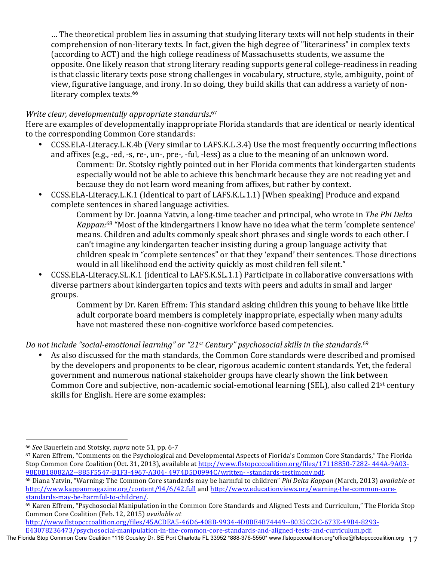… The theoretical problem lies in assuming that studying literary texts will not help students in their comprehension of non-literary texts. In fact, given the high degree of "literariness" in complex texts (according to ACT) and the high college readiness of Massachusetts students, we assume the opposite. One likely reason that strong literary reading supports general college-readiness in reading is that classic literary texts pose strong challenges in vocabulary, structure, style, ambiguity, point of view, figurative language, and irony. In so doing, they build skills that can address a variety of nonliterary complex texts.<sup>66</sup>

## **Write clear, developmentally appropriate standards.**<sup>67</sup>

Here are examples of developmentally inappropriate Florida standards that are identical or nearly identical to the corresponding Common Core standards:

- CCSS.ELA-Literacy.L.K.4b (Very similar to LAFS.K.L.3.4) Use the most frequently occurring inflections and affixes (e.g., -ed, -s, re-, un-, pre-, -ful, -less) as a clue to the meaning of an unknown word. Comment: Dr. Stotsky rightly pointed out in her Florida comments that kindergarten students especially would not be able to achieve this benchmark because they are not reading yet and because they do not learn word meaning from affixes, but rather by context.
- CCSS.ELA-Literacy.L.K.1 (Identical to part of LAFS.K.L.1.1) [When speaking] Produce and expand complete sentences in shared language activities.

Comment by Dr. Joanna Yatvin, a long-time teacher and principal, who wrote in The Phi Delta *Kappan:*<sup>68</sup> "Most of the kindergartners I know have no idea what the term 'complete sentence' means. Children and adults commonly speak short phrases and single words to each other. I can't imagine any kindergarten teacher insisting during a group language activity that children speak in "complete sentences" or that they 'expand' their sentences. Those directions would in all likelihood end the activity quickly as most children fell silent."

CCSS.ELA-Literacy.SL.K.1 (identical to LAFS.K.SL.1.1) Participate in collaborative conversations with diverse partners about kindergarten topics and texts with peers and adults in small and larger groups.

Comment by Dr. Karen Effrem: This standard asking children this young to behave like little adult corporate board members is completely inappropriate, especially when many adults have not mastered these non-cognitive workforce based competencies.

Do not include "social-emotional learning" or "21st Century" psychosocial skills in the standards.<sup>69</sup>

As also discussed for the math standards, the Common Core standards were described and promised by the developers and proponents to be clear, rigorous academic content standards. Yet, the federal government and numerous national stakeholder groups have clearly shown the link between Common Core and subjective, non-academic social-emotional learning (SEL), also called 21<sup>st</sup> century skills for English. Here are some examples:

 

http://www.flstopcccoalition.org/files/45ACDEA5-46D6-408B-9934-4D8BE4B74449--8035CC3C-673E-49B4-8293- E43078236473/psychosocial-manipulation-in-the-common-core-standards-and-aligned-tests-and-curriculum.pdf.

<sup>66</sup> *See* Bauerlein and Stotsky, *supra* note 51, pp. 6-7

<sup>&</sup>lt;sup>67</sup> Karen Effrem, "Comments on the Psychological and Developmental Aspects of Florida's Common Core Standards," The Florida Stop Common Core Coalition (Oct. 31, 2013), available at http://www.flstopcccoalition.org/files/17118850-7282- 444A-9A03-98E0B18082A2--885F5547-B1F3-4967-A304- 4974D5D0994C/written- -standards-testimony.pdf. 

<sup>68</sup> Diana Yatvin, "Warning: The Common Core standards may be harmful to children" *Phi Delta Kappan* (March, 2013) *available at* http://www.kappanmagazine.org/content/94/6/42.full and http://www.educationviews.org/warning-the-common-corestandards-may-be-harmful-to-children/.

<sup>69</sup> Karen Effrem, "Psychosocial Manipulation in the Common Core Standards and Aligned Tests and Curriculum," The Florida Stop Common Core Coalition (Feb. 12, 2015) *available at* 

The Florida Stop Common Core Coalition \*116 Cousley Dr. SE Port Charlotte FL 33952 \*888-376-5550\* www.flstopcccoalition.org \*office@flstopcccoalition.org 17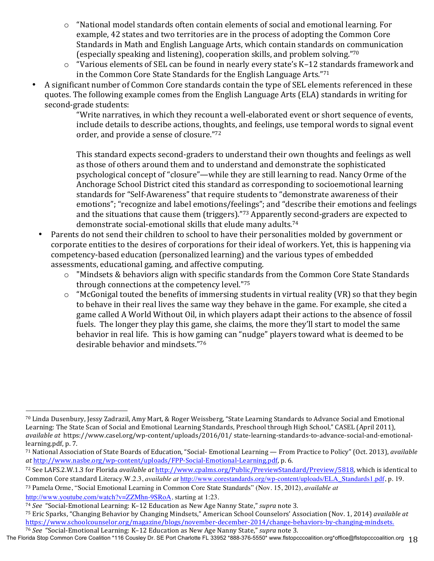- $\circ$  "National model standards often contain elements of social and emotional learning. For example, 42 states and two territories are in the process of adopting the Common Core Standards in Math and English Language Arts, which contain standards on communication (especially speaking and listening), cooperation skills, and problem solving."<sup>70</sup>
- o "Various elements of SEL can be found in nearly every state's K-12 standards framework and in the Common Core State Standards for the English Language Arts." $71$
- A significant number of Common Core standards contain the type of SEL elements referenced in these quotes. The following example comes from the English Language Arts (ELA) standards in writing for second-grade students:

"Write narratives, in which they recount a well-elaborated event or short sequence of events, include details to describe actions, thoughts, and feelings, use temporal words to signal event order, and provide a sense of closure."72

This standard expects second-graders to understand their own thoughts and feelings as well as those of others around them and to understand and demonstrate the sophisticated psychological concept of "closure"—while they are still learning to read. Nancy Orme of the Anchorage School District cited this standard as corresponding to socioemotional learning standards for "Self-Awareness" that require students to "demonstrate awareness of their emotions"; "recognize and label emotions/feelings"; and "describe their emotions and feelings and the situations that cause them (triggers)."<sup>73</sup> Apparently second-graders are expected to demonstrate social-emotional skills that elude many adults.<sup>74</sup>

- Parents do not send their children to school to have their personalities molded by government or corporate entities to the desires of corporations for their ideal of workers. Yet, this is happening via competency-based education (personalized learning) and the various types of embedded assessments, educational gaming, and affective computing.
	- "Mindsets & behaviors align with specific standards from the Common Core State Standards through connections at the competency level."75
	- $\circ$  "McGonigal touted the benefits of immersing students in virtual reality (VR) so that they begin to behave in their real lives the same way they behave in the game. For example, she cited a game called A World Without Oil, in which players adapt their actions to the absence of fossil fuels. The longer they play this game, she claims, the more they'll start to model the same behavior in real life. This is how gaming can "nudge" players toward what is deemed to be desirable behavior and mindsets."76

<sup>70</sup> Linda Dusenbury, Jessy Zadrazil, Amy Mart, & Roger Weissberg, "State Learning Standards to Advance Social and Emotional Learning: The State Scan of Social and Emotional Learning Standards, Preschool through High School," CASEL (April 2011), *available at https://www.casel.org/wp-content/uploads/2016/01/ state-learning-standards-to-advance-social-and-emotional*learning.pdf, p. 7.

<sup>&</sup>lt;sup>71</sup> National Association of State Boards of Education, "Social- Emotional Learning — From Practice to Policy" (Oct. 2013), *available at* http://www.nasbe.org/wp-content/uploads/FPP-Social-Emotional-Learning.pdf, p. 6.

<sup>72</sup> See LAFS.2.W.1.3 for Florida *available at* http://www.cpalms.org/Public/PreviewStandard/Preview/5818, which is identical to Common Core standard Literacy.W.2.3, *available at* http://www.corestandards.org/wp-content/uploads/ELA\_Standards1.pdf, p. 19.

<sup>73</sup> Pamela Orme, "Social Emotional Learning in Common Core State Standards" (Nov. 15, 2012), *available at* 

http://www.youtube.com/watch?v=ZZMhn-9SRoA, starting at 1:23.

<sup>74</sup> See "Social-Emotional Learning: K-12 Education as New Age Nanny State," supra note 3.

<sup>&</sup>lt;sup>75</sup> Eric Sparks, "Changing Behavior by Changing Mindsets," American School Counselors' Association (Nov. 1, 2014) *available at* https://www.schoolcounselor.org/magazine/blogs/november-december-2014/change-behaviors-by-changing-mindsets. <sup>76</sup> See "Social-Emotional Learning: K-12 Education as New Age Nanny State," *supra* note 3.

The Florida Stop Common Core Coalition \*116 Cousley Dr. SE Port Charlotte FL 33952 \*888-376-5550\* www.flstopcccoalition.org \*office@flstopcccoalition.org 18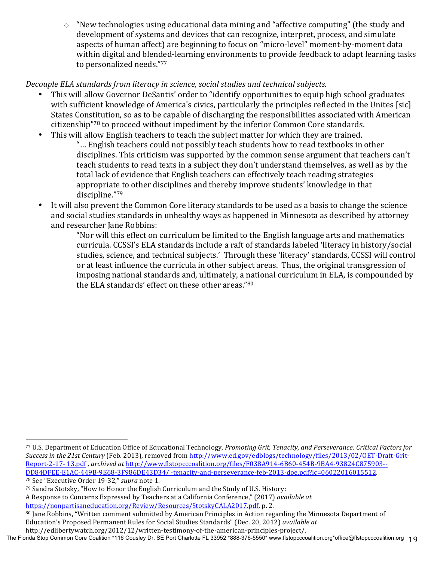$\circ$  "New technologies using educational data mining and "affective computing" (the study and development of systems and devices that can recognize, interpret, process, and simulate aspects of human affect) are beginning to focus on "micro-level" moment-by-moment data within digital and blended-learning environments to provide feedback to adapt learning tasks to personalized needs."77

# *Decouple ELA standards from literacy in science, social studies and technical subjects.*

- This will allow Governor DeSantis' order to "identify opportunities to equip high school graduates with sufficient knowledge of America's civics, particularly the principles reflected in the Unites [sic] States Constitution, so as to be capable of discharging the responsibilities associated with American citizenship"78 to proceed without impediment by the inferior Common Core standards.
- This will allow English teachers to teach the subject matter for which they are trained. "... English teachers could not possibly teach students how to read textbooks in other disciplines. This criticism was supported by the common sense argument that teachers can't teach students to read texts in a subject they don't understand themselves, as well as by the total lack of evidence that English teachers can effectively teach reading strategies appropriate to other disciplines and thereby improve students' knowledge in that discipline."79
- It will also prevent the Common Core literacy standards to be used as a basis to change the science and social studies standards in unhealthy ways as happened in Minnesota as described by attorney and researcher Jane Robbins:

"Nor will this effect on curriculum be limited to the English language arts and mathematics curricula. CCSSI's ELA standards include a raft of standards labeled 'literacy in history/social studies, science, and technical subjects.' Through these 'literacy' standards, CCSSI will control or at least influence the curricula in other subject areas. Thus, the original transgression of imposing national standards and, ultimately, a national curriculum in ELA, is compounded by the ELA standards' effect on these other areas."80

 77 U.S. Department of Education Office of Educational Technology, Promoting Grit, Tenacity, and Perseverance: Critical Factors for *Success in the 21st Century* (Feb. 2013), removed from http://www.ed.gov/edblogs/technology/files/2013/02/OET-Draft-Grit-Report-2-17- 13.pdf, archived at http://www.flstopcccoalition.org/files/F038A914-6B60-454B-9BA4-93824C875903--DD84DFEE-E1AC-449B-9E68-3F986DE43D34/ -tenacity-and-perseverance-feb-2013-doe.pdf?lc=06022016015512.

<sup>&</sup>lt;sup>78</sup> See "Executive Order 19-32," *supra* note 1.

 $79$  Sandra Stotsky, "How to Honor the English Curriculum and the Study of U.S. History:

A Response to Concerns Expressed by Teachers at a California Conference," (2017) *available at* https://nonpartisaneducation.org/Review/Resources/StotskyCALA2017.pdf, p. 2.

<sup>80</sup> Jane Robbins, "Written comment submitted by American Principles in Action regarding the Minnesota Department of Education's Proposed Permanent Rules for Social Studies Standards" (Dec. 20, 2012) *available at* 

The Florida Stop Common Core Coalition \*116 Cousley Dr. SE Port Charlotte FL 33952 \*888-376-5550\* www.flstopcccoalition.org \*office@flstopcccoalition.org 19 http://edlibertywatch.org/2012/12/written-testimony-of-the-american-principles-project/.